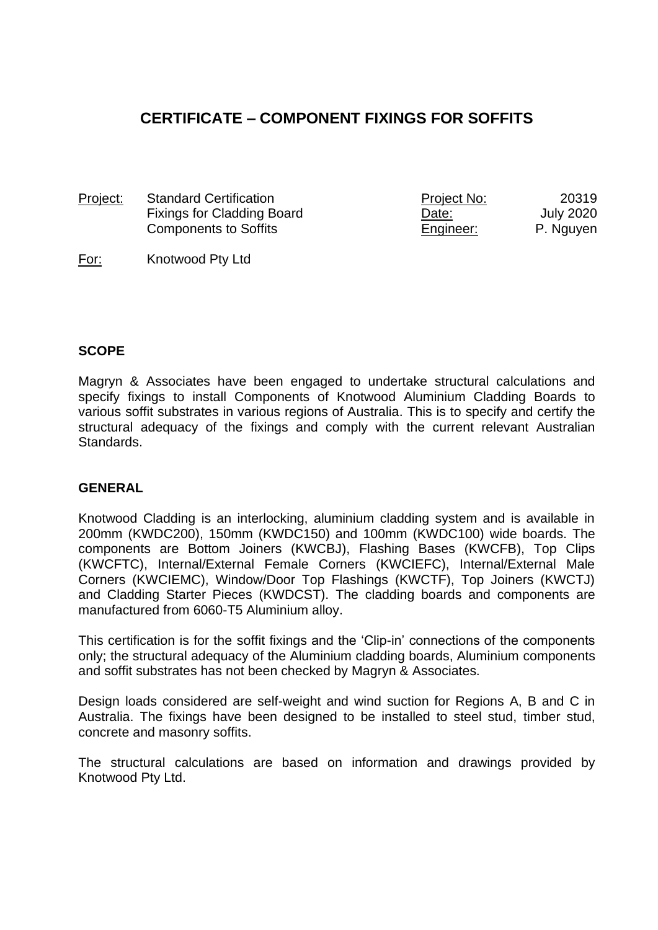# **CERTIFICATE – COMPONENT FIXINGS FOR SOFFITS**

| Project: | <b>Standard Certification</b> | <u>Project No:</u> | 20319     |
|----------|-------------------------------|--------------------|-----------|
|          | Fixings for Cladding Board    | <u>Date:</u>       | July 2020 |
|          | <b>Components to Soffits</b>  | Engineer:          | P. Nguyen |

#### For: Knotwood Pty Ltd

#### **SCOPE**

Magryn & Associates have been engaged to undertake structural calculations and specify fixings to install Components of Knotwood Aluminium Cladding Boards to various soffit substrates in various regions of Australia. This is to specify and certify the structural adequacy of the fixings and comply with the current relevant Australian Standards.

#### **GENERAL**

Knotwood Cladding is an interlocking, aluminium cladding system and is available in 200mm (KWDC200), 150mm (KWDC150) and 100mm (KWDC100) wide boards. The components are Bottom Joiners (KWCBJ), Flashing Bases (KWCFB), Top Clips (KWCFTC), Internal/External Female Corners (KWCIEFC), Internal/External Male Corners (KWCIEMC), Window/Door Top Flashings (KWCTF), Top Joiners (KWCTJ) and Cladding Starter Pieces (KWDCST). The cladding boards and components are manufactured from 6060-T5 Aluminium alloy.

This certification is for the soffit fixings and the 'Clip-in' connections of the components only; the structural adequacy of the Aluminium cladding boards, Aluminium components and soffit substrates has not been checked by Magryn & Associates.

Design loads considered are self-weight and wind suction for Regions A, B and C in Australia. The fixings have been designed to be installed to steel stud, timber stud, concrete and masonry soffits.

The structural calculations are based on information and drawings provided by Knotwood Pty Ltd.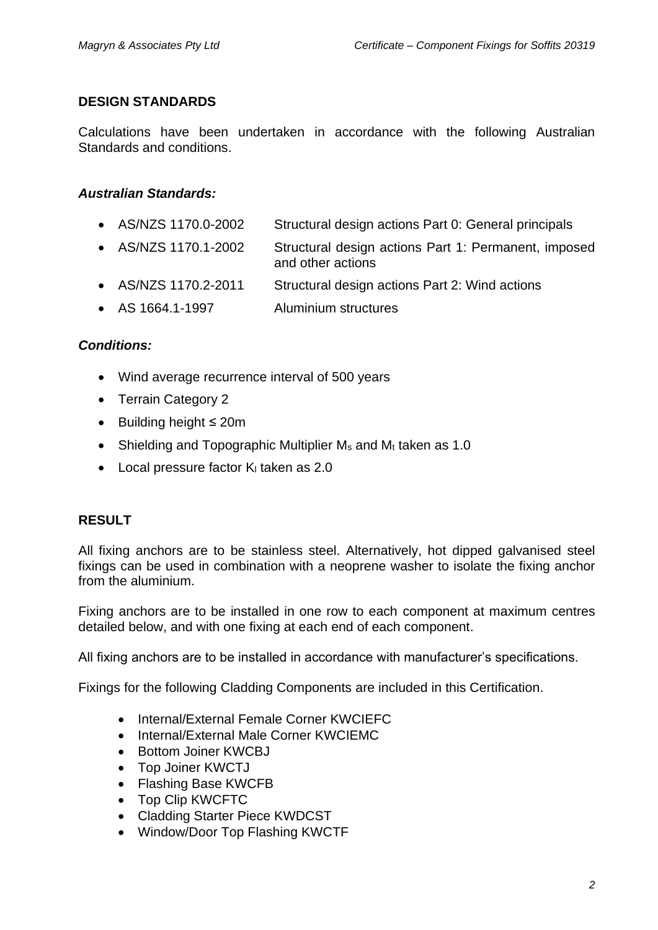## **DESIGN STANDARDS**

Calculations have been undertaken in accordance with the following Australian Standards and conditions.

# *Australian Standards:*

- AS/NZS 1170.0-2002 Structural design actions Part 0: General principals
- AS/NZS 1170.1-2002 Structural design actions Part 1: Permanent, imposed and other actions
- AS/NZS 1170.2-2011 Structural design actions Part 2: Wind actions
- AS 1664.1-1997 Aluminium structures

## *Conditions:*

- Wind average recurrence interval of 500 years
- Terrain Category 2
- Building height ≤ 20m
- Shielding and Topographic Multiplier  $M_s$  and  $M_t$  taken as 1.0
- $\bullet$  Local pressure factor K<sub>i</sub> taken as 2.0

# **RESULT**

All fixing anchors are to be stainless steel. Alternatively, hot dipped galvanised steel fixings can be used in combination with a neoprene washer to isolate the fixing anchor from the aluminium.

Fixing anchors are to be installed in one row to each component at maximum centres detailed below, and with one fixing at each end of each component.

All fixing anchors are to be installed in accordance with manufacturer's specifications.

Fixings for the following Cladding Components are included in this Certification.

- Internal/External Female Corner KWCIEFC
- Internal/External Male Corner KWCIEMC
- Bottom Joiner KWCBJ
- Top Joiner KWCTJ
- Flashing Base KWCFB
- Top Clip KWCFTC
- Cladding Starter Piece KWDCST
- Window/Door Top Flashing KWCTF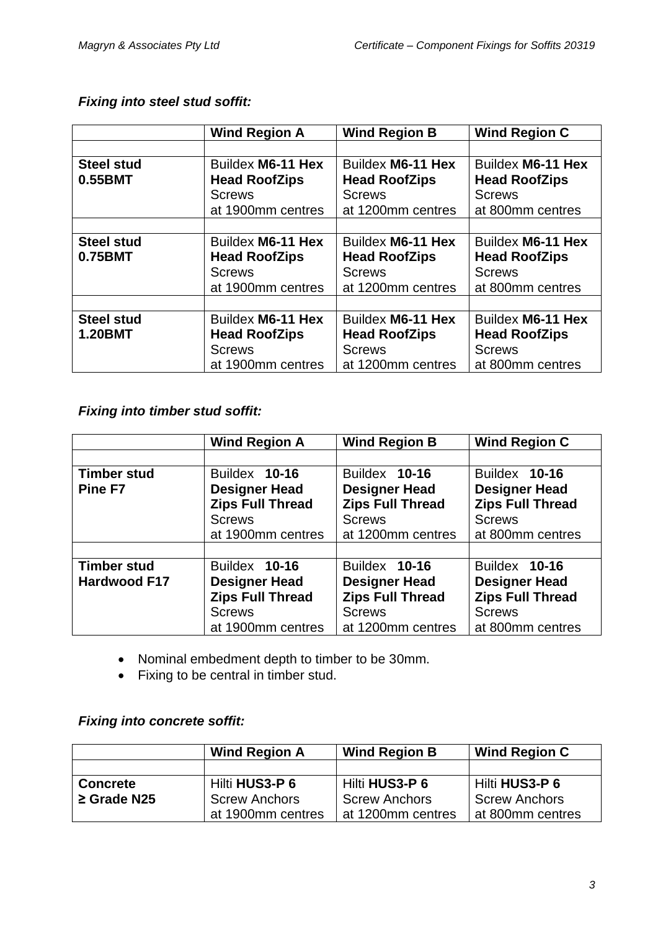# *Fixing into steel stud soffit:*

|                                     | <b>Wind Region A</b>                                                            | <b>Wind Region B</b>                                                            | <b>Wind Region C</b>                                                           |
|-------------------------------------|---------------------------------------------------------------------------------|---------------------------------------------------------------------------------|--------------------------------------------------------------------------------|
|                                     |                                                                                 |                                                                                 |                                                                                |
| <b>Steel stud</b><br>0.55BMT        | Buildex M6-11 Hex<br><b>Head RoofZips</b><br><b>Screws</b><br>at 1900mm centres | Buildex M6-11 Hex<br><b>Head RoofZips</b><br><b>Screws</b><br>at 1200mm centres | Buildex M6-11 Hex<br><b>Head RoofZips</b><br><b>Screws</b><br>at 800mm centres |
|                                     |                                                                                 |                                                                                 |                                                                                |
| <b>Steel stud</b><br>0.75BMT        | Buildex M6-11 Hex<br><b>Head RoofZips</b><br><b>Screws</b><br>at 1900mm centres | Buildex M6-11 Hex<br><b>Head RoofZips</b><br><b>Screws</b><br>at 1200mm centres | Buildex M6-11 Hex<br><b>Head RoofZips</b><br><b>Screws</b><br>at 800mm centres |
|                                     |                                                                                 |                                                                                 |                                                                                |
| <b>Steel stud</b><br><b>1.20BMT</b> | Buildex M6-11 Hex<br><b>Head RoofZips</b><br><b>Screws</b><br>at 1900mm centres | Buildex M6-11 Hex<br><b>Head RoofZips</b><br><b>Screws</b><br>at 1200mm centres | Buildex M6-11 Hex<br><b>Head RoofZips</b><br><b>Screws</b><br>at 800mm centres |

# *Fixing into timber stud soffit:*

|                     | <b>Wind Region A</b>    | <b>Wind Region B</b>    | <b>Wind Region C</b>    |
|---------------------|-------------------------|-------------------------|-------------------------|
|                     |                         |                         |                         |
| <b>Timber stud</b>  | Buildex 10-16           | Buildex 10-16           | Buildex 10-16           |
| Pine F7             | <b>Designer Head</b>    | <b>Designer Head</b>    | <b>Designer Head</b>    |
|                     | <b>Zips Full Thread</b> | <b>Zips Full Thread</b> | <b>Zips Full Thread</b> |
|                     | <b>Screws</b>           | <b>Screws</b>           | <b>Screws</b>           |
|                     | at 1900mm centres       | at 1200mm centres       | at 800mm centres        |
|                     |                         |                         |                         |
| <b>Timber stud</b>  | Buildex 10-16           | Buildex 10-16           | Buildex 10-16           |
| <b>Hardwood F17</b> | <b>Designer Head</b>    | <b>Designer Head</b>    | <b>Designer Head</b>    |
|                     | <b>Zips Full Thread</b> | <b>Zips Full Thread</b> | <b>Zips Full Thread</b> |
|                     | <b>Screws</b>           | <b>Screws</b>           | <b>Screws</b>           |
|                     | at 1900mm centres       | at 1200mm centres       | at 800mm centres        |

- Nominal embedment depth to timber to be 30mm.
- Fixing to be central in timber stud.

## *Fixing into concrete soffit:*

|                  | <b>Wind Region A</b> | <b>Wind Region B</b> | <b>Wind Region C</b> |
|------------------|----------------------|----------------------|----------------------|
|                  |                      |                      |                      |
| <b>Concrete</b>  | Hilti HUS3-P 6       | Hilti HUS3-P 6       | Hilti HUS3-P 6       |
| $\geq$ Grade N25 | <b>Screw Anchors</b> | <b>Screw Anchors</b> | <b>Screw Anchors</b> |
|                  | at 1900mm centres    | at 1200mm centres    | at 800mm centres     |